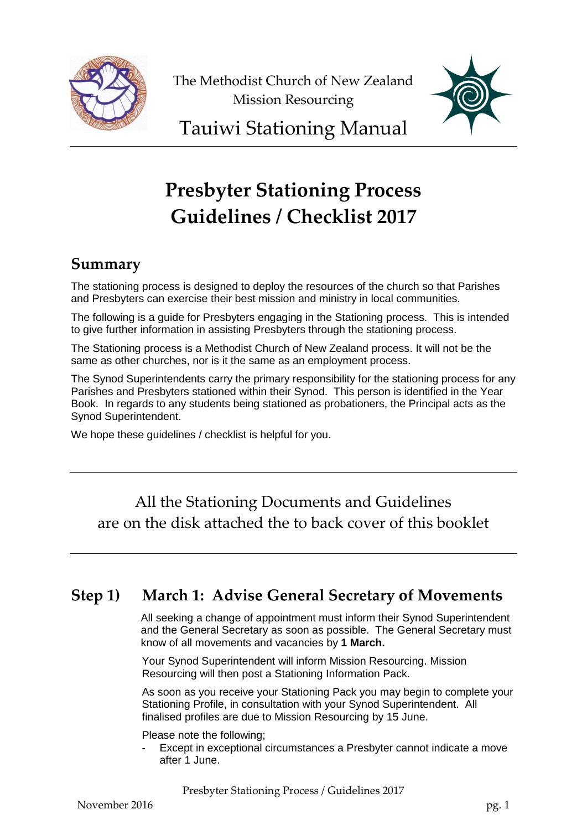

The Methodist Church of New Zealand Mission Resourcing



Tauiwi Stationing Manual

# **Presbyter Stationing Process Guidelines / Checklist 2017**

# **Summary**

The stationing process is designed to deploy the resources of the church so that Parishes and Presbyters can exercise their best mission and ministry in local communities.

The following is a guide for Presbyters engaging in the Stationing process. This is intended to give further information in assisting Presbyters through the stationing process.

The Stationing process is a Methodist Church of New Zealand process. It will not be the same as other churches, nor is it the same as an employment process.

The Synod Superintendents carry the primary responsibility for the stationing process for any Parishes and Presbyters stationed within their Synod. This person is identified in the Year Book. In regards to any students being stationed as probationers, the Principal acts as the Synod Superintendent.

We hope these guidelines / checklist is helpful for you.

All the Stationing Documents and Guidelines are on the disk attached the to back cover of this booklet

# **Step 1) March 1: Advise General Secretary of Movements**

All seeking a change of appointment must inform their Synod Superintendent and the General Secretary as soon as possible. The General Secretary must know of all movements and vacancies by **1 March.**

Your Synod Superintendent will inform Mission Resourcing. Mission Resourcing will then post a Stationing Information Pack.

As soon as you receive your Stationing Pack you may begin to complete your Stationing Profile, in consultation with your Synod Superintendent. All finalised profiles are due to Mission Resourcing by 15 June.

Please note the following;

Except in exceptional circumstances a Presbyter cannot indicate a move after 1 June.

Presbyter Stationing Process / Guidelines 2017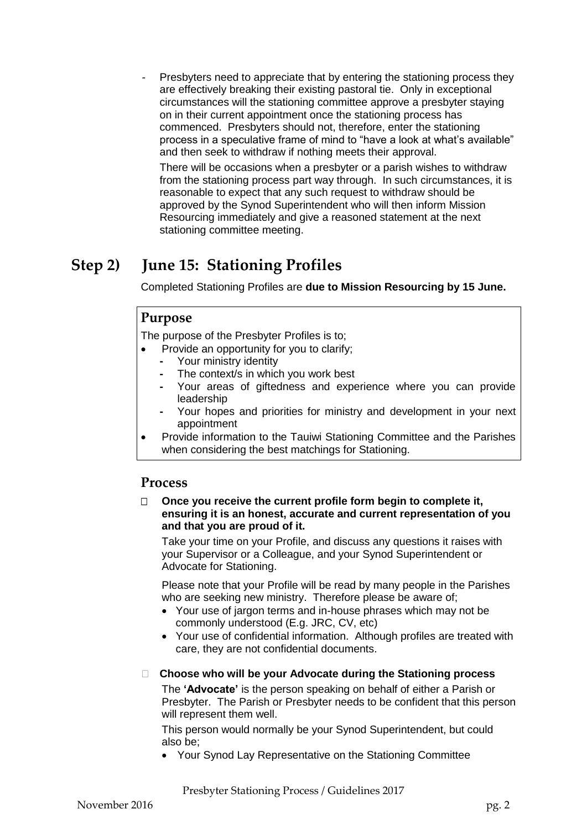Presbyters need to appreciate that by entering the stationing process they are effectively breaking their existing pastoral tie. Only in exceptional circumstances will the stationing committee approve a presbyter staying on in their current appointment once the stationing process has commenced. Presbyters should not, therefore, enter the stationing process in a speculative frame of mind to "have a look at what's available" and then seek to withdraw if nothing meets their approval.

There will be occasions when a presbyter or a parish wishes to withdraw from the stationing process part way through. In such circumstances, it is reasonable to expect that any such request to withdraw should be approved by the Synod Superintendent who will then inform Mission Resourcing immediately and give a reasoned statement at the next stationing committee meeting.

# **Step 2) June 15: Stationing Profiles**

Completed Stationing Profiles are **due to Mission Resourcing by 15 June.**

## **Purpose**

The purpose of the Presbyter Profiles is to;

- Provide an opportunity for you to clarify;
	- **-** Your ministry identity
	- **-** The context/s in which you work best
	- **-** Your areas of giftedness and experience where you can provide leadership
	- **-** Your hopes and priorities for ministry and development in your next appointment
- Provide information to the Tauiwi Stationing Committee and the Parishes when considering the best matchings for Stationing.

## **Process**

 **Once you receive the current profile form begin to complete it, ensuring it is an honest, accurate and current representation of you and that you are proud of it.**

Take your time on your Profile, and discuss any questions it raises with your Supervisor or a Colleague, and your Synod Superintendent or Advocate for Stationing.

Please note that your Profile will be read by many people in the Parishes who are seeking new ministry. Therefore please be aware of;

- Your use of jargon terms and in-house phrases which may not be commonly understood (E.g. JRC, CV, etc)
- Your use of confidential information. Although profiles are treated with care, they are not confidential documents.

 **Choose who will be your Advocate during the Stationing process** The **'Advocate'** is the person speaking on behalf of either a Parish or Presbyter. The Parish or Presbyter needs to be confident that this person will represent them well.

This person would normally be your Synod Superintendent, but could also be;

Your Synod Lay Representative on the Stationing Committee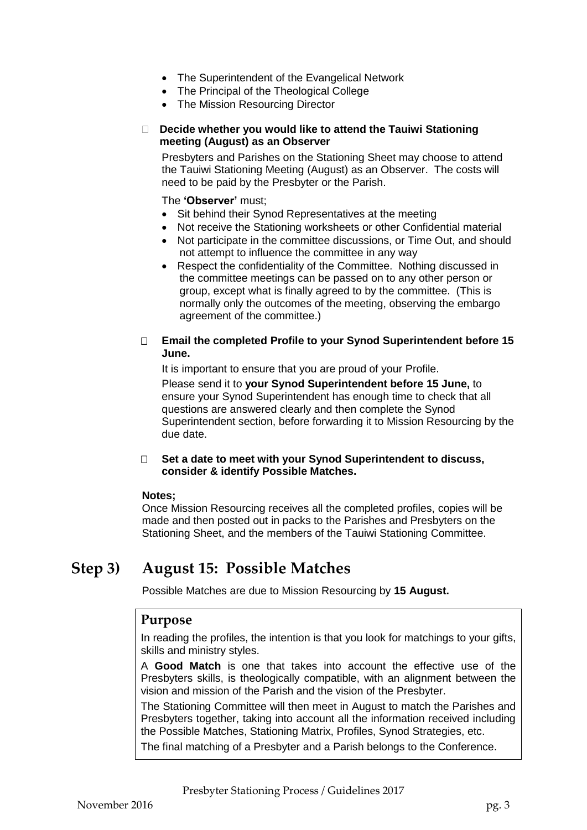- The Superintendent of the Evangelical Network
- The Principal of the Theological College
- The Mission Resourcing Director
- **Decide whether you would like to attend the Tauiwi Stationing meeting (August) as an Observer**

Presbyters and Parishes on the Stationing Sheet may choose to attend the Tauiwi Stationing Meeting (August) as an Observer. The costs will need to be paid by the Presbyter or the Parish.

#### The **'Observer'** must;

- Sit behind their Synod Representatives at the meeting
- Not receive the Stationing worksheets or other Confidential material
- Not participate in the committee discussions, or Time Out, and should not attempt to influence the committee in any way
- Respect the confidentiality of the Committee. Nothing discussed in the committee meetings can be passed on to any other person or group, except what is finally agreed to by the committee. (This is normally only the outcomes of the meeting, observing the embargo agreement of the committee.)

### **Email the completed Profile to your Synod Superintendent before 15 June.**

It is important to ensure that you are proud of your Profile.

Please send it to **your Synod Superintendent before 15 June,** to ensure your Synod Superintendent has enough time to check that all questions are answered clearly and then complete the Synod Superintendent section, before forwarding it to Mission Resourcing by the due date.

### **Set a date to meet with your Synod Superintendent to discuss, consider & identify Possible Matches.**

### **Notes;**

Once Mission Resourcing receives all the completed profiles, copies will be made and then posted out in packs to the Parishes and Presbyters on the Stationing Sheet, and the members of the Tauiwi Stationing Committee.

# **Step 3) August 15: Possible Matches**

Possible Matches are due to Mission Resourcing by **15 August.**

## **Purpose**

In reading the profiles, the intention is that you look for matchings to your gifts, skills and ministry styles.

A **Good Match** is one that takes into account the effective use of the Presbyters skills, is theologically compatible, with an alignment between the vision and mission of the Parish and the vision of the Presbyter.

The Stationing Committee will then meet in August to match the Parishes and Presbyters together, taking into account all the information received including the Possible Matches, Stationing Matrix, Profiles, Synod Strategies, etc.

The final matching of a Presbyter and a Parish belongs to the Conference.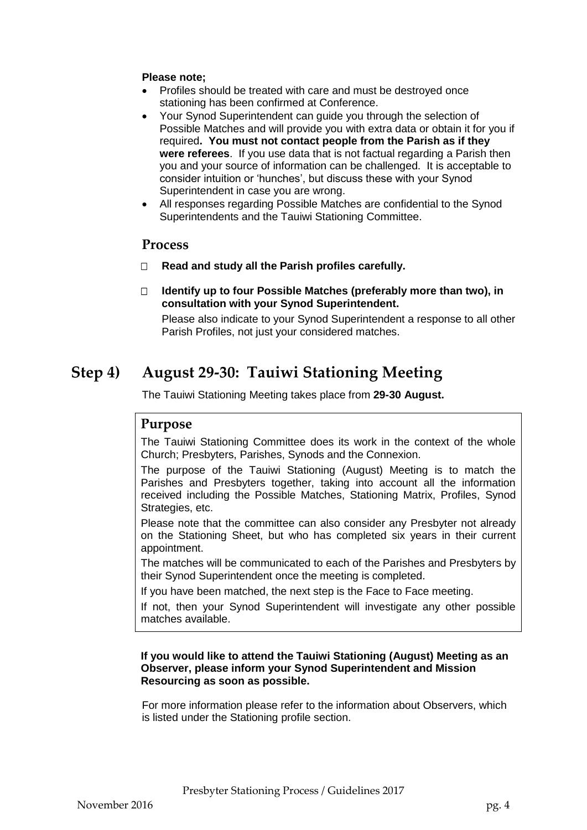### **Please note;**

- Profiles should be treated with care and must be destroyed once stationing has been confirmed at Conference.
- Your Synod Superintendent can guide you through the selection of Possible Matches and will provide you with extra data or obtain it for you if required**. You must not contact people from the Parish as if they were referees**. If you use data that is not factual regarding a Parish then you and your source of information can be challenged. It is acceptable to consider intuition or 'hunches', but discuss these with your Synod Superintendent in case you are wrong.
- All responses regarding Possible Matches are confidential to the Synod Superintendents and the Tauiwi Stationing Committee.

### **Process**

- **Read and study all the Parish profiles carefully.**
- **Identify up to four Possible Matches (preferably more than two), in consultation with your Synod Superintendent.**

Please also indicate to your Synod Superintendent a response to all other Parish Profiles, not just your considered matches.

# **Step 4) August 29-30: Tauiwi Stationing Meeting**

The Tauiwi Stationing Meeting takes place from **29-30 August.**

## **Purpose**

The Tauiwi Stationing Committee does its work in the context of the whole Church; Presbyters, Parishes, Synods and the Connexion.

The purpose of the Tauiwi Stationing (August) Meeting is to match the Parishes and Presbyters together, taking into account all the information received including the Possible Matches, Stationing Matrix, Profiles, Synod Strategies, etc.

Please note that the committee can also consider any Presbyter not already on the Stationing Sheet, but who has completed six years in their current appointment.

The matches will be communicated to each of the Parishes and Presbyters by their Synod Superintendent once the meeting is completed.

If you have been matched, the next step is the Face to Face meeting.

If not, then your Synod Superintendent will investigate any other possible matches available.

#### **If you would like to attend the Tauiwi Stationing (August) Meeting as an Observer, please inform your Synod Superintendent and Mission Resourcing as soon as possible.**

For more information please refer to the information about Observers, which is listed under the Stationing profile section.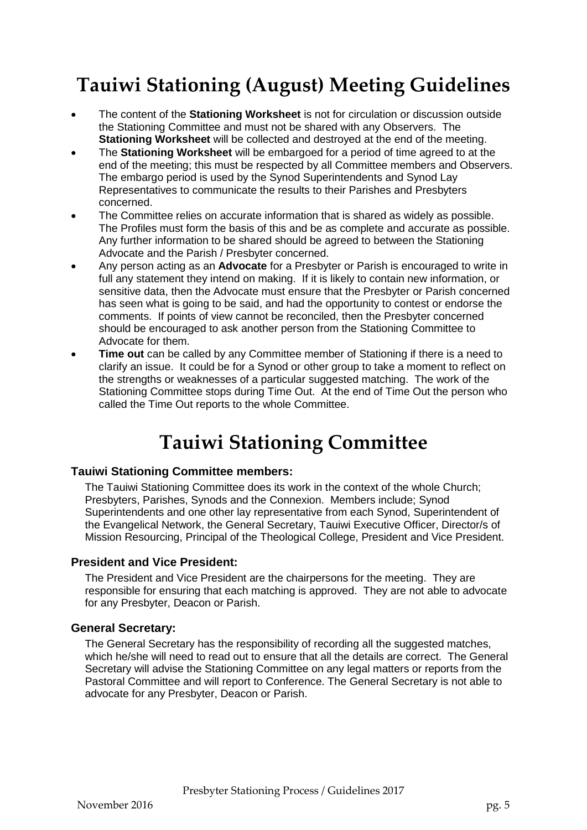# **Tauiwi Stationing (August) Meeting Guidelines**

- The content of the **Stationing Worksheet** is not for circulation or discussion outside the Stationing Committee and must not be shared with any Observers. The **Stationing Worksheet** will be collected and destroyed at the end of the meeting.
- The **Stationing Worksheet** will be embargoed for a period of time agreed to at the end of the meeting; this must be respected by all Committee members and Observers. The embargo period is used by the Synod Superintendents and Synod Lay Representatives to communicate the results to their Parishes and Presbyters concerned.
- The Committee relies on accurate information that is shared as widely as possible. The Profiles must form the basis of this and be as complete and accurate as possible. Any further information to be shared should be agreed to between the Stationing Advocate and the Parish / Presbyter concerned.
- Any person acting as an **Advocate** for a Presbyter or Parish is encouraged to write in full any statement they intend on making. If it is likely to contain new information, or sensitive data, then the Advocate must ensure that the Presbyter or Parish concerned has seen what is going to be said, and had the opportunity to contest or endorse the comments. If points of view cannot be reconciled, then the Presbyter concerned should be encouraged to ask another person from the Stationing Committee to Advocate for them.
- **Time out** can be called by any Committee member of Stationing if there is a need to clarify an issue. It could be for a Synod or other group to take a moment to reflect on the strengths or weaknesses of a particular suggested matching. The work of the Stationing Committee stops during Time Out. At the end of Time Out the person who called the Time Out reports to the whole Committee.

# **Tauiwi Stationing Committee**

## **Tauiwi Stationing Committee members:**

The Tauiwi Stationing Committee does its work in the context of the whole Church; Presbyters, Parishes, Synods and the Connexion. Members include; Synod Superintendents and one other lay representative from each Synod, Superintendent of the Evangelical Network, the General Secretary, Tauiwi Executive Officer, Director/s of Mission Resourcing, Principal of the Theological College, President and Vice President.

### **President and Vice President:**

The President and Vice President are the chairpersons for the meeting. They are responsible for ensuring that each matching is approved. They are not able to advocate for any Presbyter, Deacon or Parish.

### **General Secretary:**

The General Secretary has the responsibility of recording all the suggested matches, which he/she will need to read out to ensure that all the details are correct. The General Secretary will advise the Stationing Committee on any legal matters or reports from the Pastoral Committee and will report to Conference. The General Secretary is not able to advocate for any Presbyter, Deacon or Parish.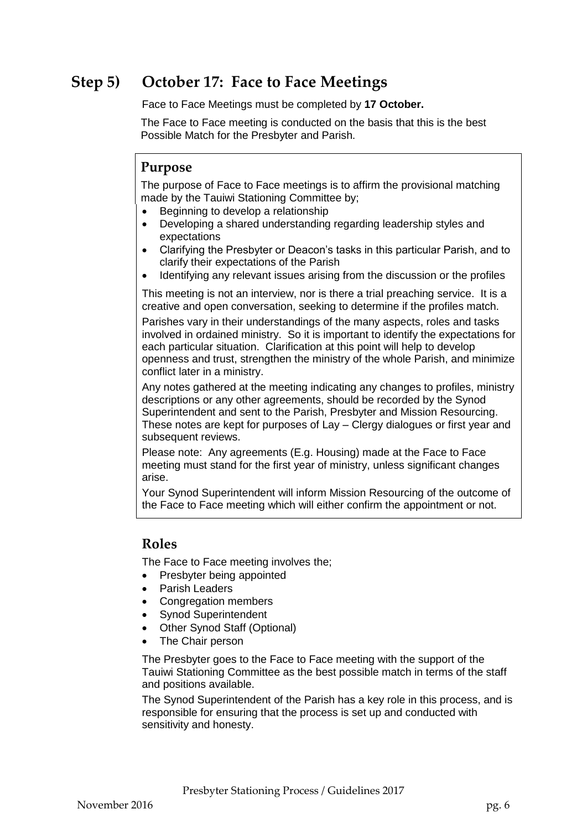# **Step 5) October 17: Face to Face Meetings**

Face to Face Meetings must be completed by **17 October.**

The Face to Face meeting is conducted on the basis that this is the best Possible Match for the Presbyter and Parish.

## **Purpose**

The purpose of Face to Face meetings is to affirm the provisional matching made by the Tauiwi Stationing Committee by;

- Beginning to develop a relationship
- Developing a shared understanding regarding leadership styles and expectations
- Clarifying the Presbyter or Deacon's tasks in this particular Parish, and to clarify their expectations of the Parish
- Identifying any relevant issues arising from the discussion or the profiles

This meeting is not an interview, nor is there a trial preaching service. It is a creative and open conversation, seeking to determine if the profiles match.

Parishes vary in their understandings of the many aspects, roles and tasks involved in ordained ministry. So it is important to identify the expectations for each particular situation. Clarification at this point will help to develop openness and trust, strengthen the ministry of the whole Parish, and minimize conflict later in a ministry.

Any notes gathered at the meeting indicating any changes to profiles, ministry descriptions or any other agreements, should be recorded by the Synod Superintendent and sent to the Parish, Presbyter and Mission Resourcing. These notes are kept for purposes of Lay – Clergy dialogues or first year and subsequent reviews.

Please note: Any agreements (E.g. Housing) made at the Face to Face meeting must stand for the first year of ministry, unless significant changes arise.

Your Synod Superintendent will inform Mission Resourcing of the outcome of the Face to Face meeting which will either confirm the appointment or not.

## **Roles**

The Face to Face meeting involves the;

- Presbyter being appointed
- Parish Leaders
- Congregation members
- Synod Superintendent
- Other Synod Staff (Optional)
- The Chair person

The Presbyter goes to the Face to Face meeting with the support of the Tauiwi Stationing Committee as the best possible match in terms of the staff and positions available.

The Synod Superintendent of the Parish has a key role in this process, and is responsible for ensuring that the process is set up and conducted with sensitivity and honesty.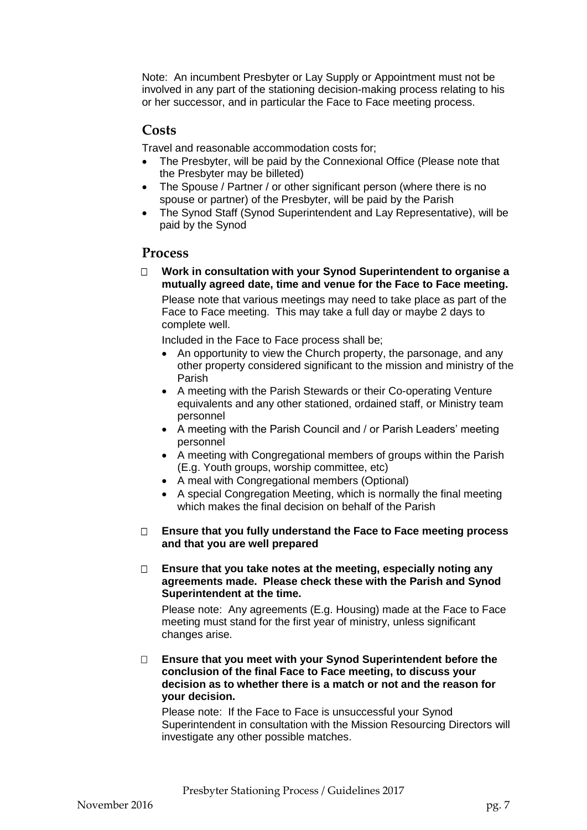Note: An incumbent Presbyter or Lay Supply or Appointment must not be involved in any part of the stationing decision-making process relating to his or her successor, and in particular the Face to Face meeting process.

## **Costs**

Travel and reasonable accommodation costs for;

- The Presbyter, will be paid by the Connexional Office (Please note that the Presbyter may be billeted)
- The Spouse / Partner / or other significant person (where there is no spouse or partner) of the Presbyter, will be paid by the Parish
- The Synod Staff (Synod Superintendent and Lay Representative), will be paid by the Synod

## **Process**

 **Work in consultation with your Synod Superintendent to organise a mutually agreed date, time and venue for the Face to Face meeting.** 

Please note that various meetings may need to take place as part of the Face to Face meeting. This may take a full day or maybe 2 days to complete well.

Included in the Face to Face process shall be;

- An opportunity to view the Church property, the parsonage, and any other property considered significant to the mission and ministry of the Parish
- A meeting with the Parish Stewards or their Co-operating Venture equivalents and any other stationed, ordained staff, or Ministry team personnel
- A meeting with the Parish Council and / or Parish Leaders' meeting personnel
- A meeting with Congregational members of groups within the Parish (E.g. Youth groups, worship committee, etc)
- A meal with Congregational members (Optional)
- A special Congregation Meeting, which is normally the final meeting which makes the final decision on behalf of the Parish
- **Ensure that you fully understand the Face to Face meeting process and that you are well prepared**
- **Ensure that you take notes at the meeting, especially noting any agreements made. Please check these with the Parish and Synod Superintendent at the time.**

Please note: Any agreements (E.g. Housing) made at the Face to Face meeting must stand for the first year of ministry, unless significant changes arise.

 **Ensure that you meet with your Synod Superintendent before the conclusion of the final Face to Face meeting, to discuss your decision as to whether there is a match or not and the reason for your decision.**

Please note: If the Face to Face is unsuccessful your Synod Superintendent in consultation with the Mission Resourcing Directors will investigate any other possible matches.